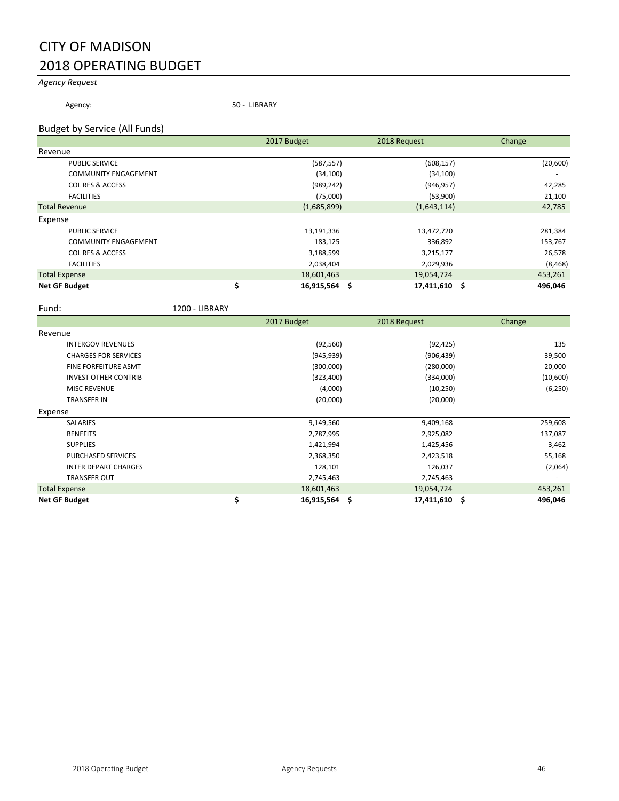# CITY OF MADISON 2018 OPERATING BUDGET

## *Agency Request*

Agency: 50 - LIBRARY

#### Budget by Service (All Funds)

|                             | 2017 Budget     | 2018 Request  | Change    |
|-----------------------------|-----------------|---------------|-----------|
| Revenue                     |                 |               |           |
| <b>PUBLIC SERVICE</b>       | (587, 557)      | (608, 157)    | (20, 600) |
| <b>COMMUNITY ENGAGEMENT</b> | (34, 100)       | (34, 100)     |           |
| <b>COL RES &amp; ACCESS</b> | (989, 242)      | (946, 957)    | 42,285    |
| <b>FACILITIES</b>           | (75,000)        | (53,900)      | 21,100    |
| <b>Total Revenue</b>        | (1,685,899)     | (1,643,114)   | 42,785    |
| Expense                     |                 |               |           |
| <b>PUBLIC SERVICE</b>       | 13,191,336      | 13,472,720    | 281,384   |
| <b>COMMUNITY ENGAGEMENT</b> | 183,125         | 336,892       | 153,767   |
| <b>COL RES &amp; ACCESS</b> | 3,188,599       | 3,215,177     | 26,578    |
| <b>FACILITIES</b>           | 2,038,404       | 2,029,936     | (8, 468)  |
| <b>Total Expense</b>        | 18,601,463      | 19,054,724    | 453,261   |
| <b>Net GF Budget</b>        | $16,915,564$ \$ | 17,411,610 \$ | 496,046   |

Fund: 1200 - LIBRARY

|                             | 2017 Budget      | 2018 Request         | Change   |
|-----------------------------|------------------|----------------------|----------|
| Revenue                     |                  |                      |          |
| <b>INTERGOV REVENUES</b>    | (92, 560)        | (92, 425)            | 135      |
| <b>CHARGES FOR SERVICES</b> | (945, 939)       | (906, 439)           | 39,500   |
| <b>FINE FORFEITURE ASMT</b> | (300,000)        | (280,000)            | 20,000   |
| <b>INVEST OTHER CONTRIB</b> | (323, 400)       | (334,000)            | (10,600) |
| <b>MISC REVENUE</b>         | (4,000)          | (10, 250)            | (6, 250) |
| <b>TRANSFER IN</b>          | (20,000)         | (20,000)             |          |
| Expense                     |                  |                      |          |
| <b>SALARIES</b>             | 9,149,560        | 9,409,168            | 259,608  |
| <b>BENEFITS</b>             | 2,787,995        | 2,925,082            | 137,087  |
| <b>SUPPLIES</b>             | 1,421,994        | 1,425,456            | 3,462    |
| <b>PURCHASED SERVICES</b>   | 2,368,350        | 2,423,518            | 55,168   |
| <b>INTER DEPART CHARGES</b> | 128,101          | 126,037              | (2,064)  |
| <b>TRANSFER OUT</b>         | 2,745,463        | 2,745,463            |          |
| <b>Total Expense</b>        | 18,601,463       | 19,054,724           | 453,261  |
| <b>Net GF Budget</b>        | \$<br>16,915,564 | \$.<br>17,411,610 \$ | 496,046  |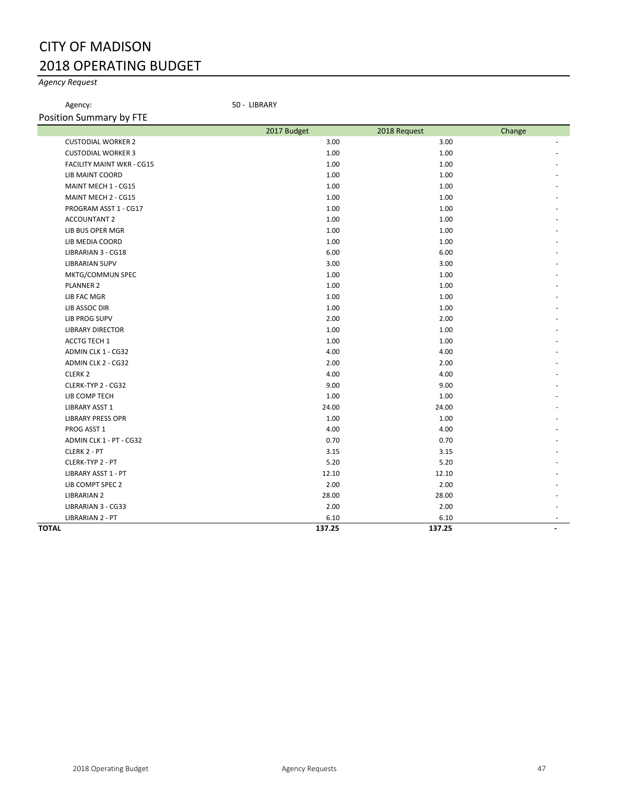# CITY OF MADISON 2018 OPERATING BUDGET

## *Agency Request*

Agency: 50 - LIBRARY

| Position Summary by FTE          |             |              |        |
|----------------------------------|-------------|--------------|--------|
|                                  | 2017 Budget | 2018 Request | Change |
| <b>CUSTODIAL WORKER 2</b>        | 3.00        | 3.00         |        |
| <b>CUSTODIAL WORKER 3</b>        | 1.00        | 1.00         |        |
| <b>FACILITY MAINT WKR - CG15</b> | 1.00        | 1.00         |        |
| <b>LIB MAINT COORD</b>           | 1.00        | 1.00         |        |
| MAINT MECH 1 - CG15              | 1.00        | 1.00         |        |
| MAINT MECH 2 - CG15              | 1.00        | 1.00         |        |
| PROGRAM ASST 1 - CG17            | 1.00        | 1.00         |        |
| <b>ACCOUNTANT 2</b>              | 1.00        | 1.00         |        |
| LIB BUS OPER MGR                 | 1.00        | 1.00         |        |
| LIB MEDIA COORD                  | 1.00        | 1.00         |        |
| LIBRARIAN 3 - CG18               | 6.00        | 6.00         |        |
| <b>LIBRARIAN SUPV</b>            | 3.00        | 3.00         |        |
| MKTG/COMMUN SPEC                 | 1.00        | 1.00         |        |
| <b>PLANNER 2</b>                 | 1.00        | 1.00         |        |
| <b>LIB FAC MGR</b>               | 1.00        | 1.00         |        |
| LIB ASSOC DIR                    | 1.00        | 1.00         |        |
| <b>LIB PROG SUPV</b>             | 2.00        | 2.00         |        |
| <b>LIBRARY DIRECTOR</b>          | 1.00        | 1.00         |        |
| ACCTG TECH 1                     | 1.00        | 1.00         |        |
| ADMIN CLK 1 - CG32               | 4.00        | 4.00         |        |
| ADMIN CLK 2 - CG32               | 2.00        | 2.00         |        |
| CLERK <sub>2</sub>               | 4.00        | 4.00         |        |
| CLERK-TYP 2 - CG32               | 9.00        | 9.00         |        |
| LIB COMP TECH                    | 1.00        | 1.00         |        |
| <b>LIBRARY ASST 1</b>            | 24.00       | 24.00        |        |
| <b>LIBRARY PRESS OPR</b>         | 1.00        | 1.00         |        |
| PROG ASST 1                      | 4.00        | 4.00         |        |
| ADMIN CLK 1 - PT - CG32          | 0.70        | 0.70         |        |
| CLERK 2 - PT                     | 3.15        | 3.15         |        |
| CLERK-TYP 2 - PT                 | 5.20        | 5.20         |        |
| LIBRARY ASST 1 - PT              | 12.10       | 12.10        |        |
| LIB COMPT SPEC 2                 | 2.00        | 2.00         |        |
| <b>LIBRARIAN 2</b>               | 28.00       | 28.00        |        |
| LIBRARIAN 3 - CG33               | 2.00        | 2.00         |        |
| LIBRARIAN 2 - PT                 | 6.10        | 6.10         |        |
| <b>TOTAL</b>                     | 137.25      | 137.25       |        |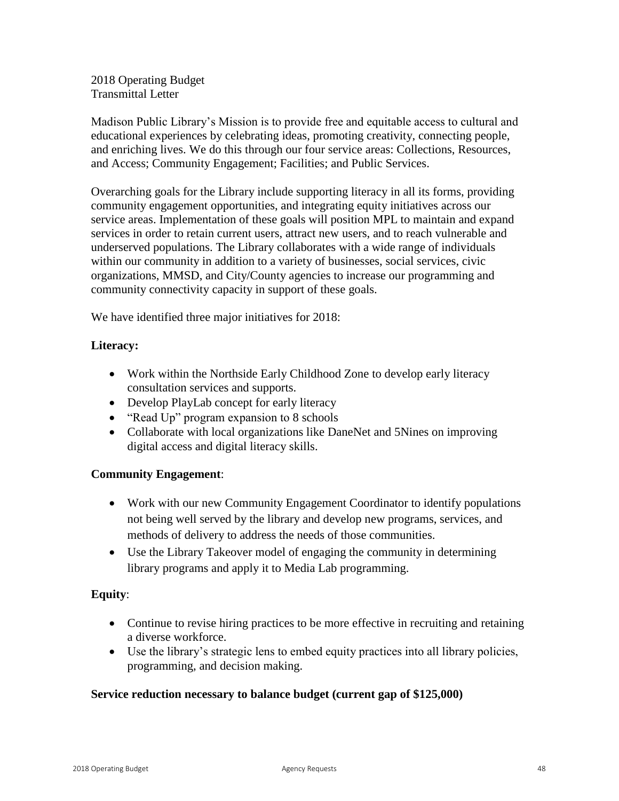2018 Operating Budget Transmittal Letter

Madison Public Library's Mission is to provide free and equitable access to cultural and educational experiences by celebrating ideas, promoting creativity, connecting people, and enriching lives. We do this through our four service areas: Collections, Resources, and Access; Community Engagement; Facilities; and Public Services.

Overarching goals for the Library include supporting literacy in all its forms, providing community engagement opportunities, and integrating equity initiatives across our service areas. Implementation of these goals will position MPL to maintain and expand services in order to retain current users, attract new users, and to reach vulnerable and underserved populations. The Library collaborates with a wide range of individuals within our community in addition to a variety of businesses, social services, civic organizations, MMSD, and City/County agencies to increase our programming and community connectivity capacity in support of these goals.

We have identified three major initiatives for 2018:

# **Literacy:**

- Work within the Northside Early Childhood Zone to develop early literacy consultation services and supports.
- Develop PlayLab concept for early literacy
- "Read Up" program expansion to 8 schools
- Collaborate with local organizations like DaneNet and 5Nines on improving digital access and digital literacy skills.

# **Community Engagement**:

- Work with our new Community Engagement Coordinator to identify populations not being well served by the library and develop new programs, services, and methods of delivery to address the needs of those communities.
- Use the Library Takeover model of engaging the community in determining library programs and apply it to Media Lab programming.

# **Equity**:

- Continue to revise hiring practices to be more effective in recruiting and retaining a diverse workforce.
- Use the library's strategic lens to embed equity practices into all library policies, programming, and decision making.

# **Service reduction necessary to balance budget (current gap of \$125,000)**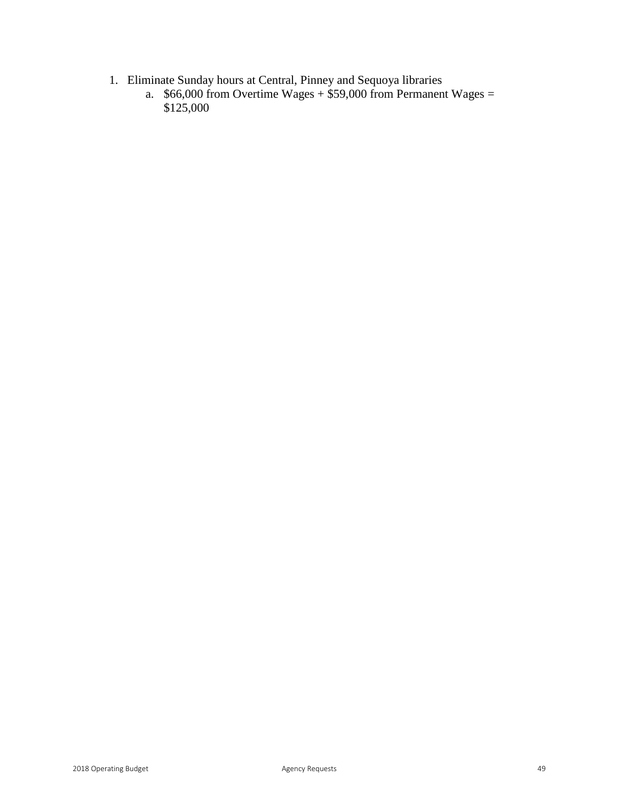- 1. Eliminate Sunday hours at Central, Pinney and Sequoya libraries
	- a.  $$66,000$  from Overtime Wages  $+ $59,000$  from Permanent Wages  $=$ \$125,000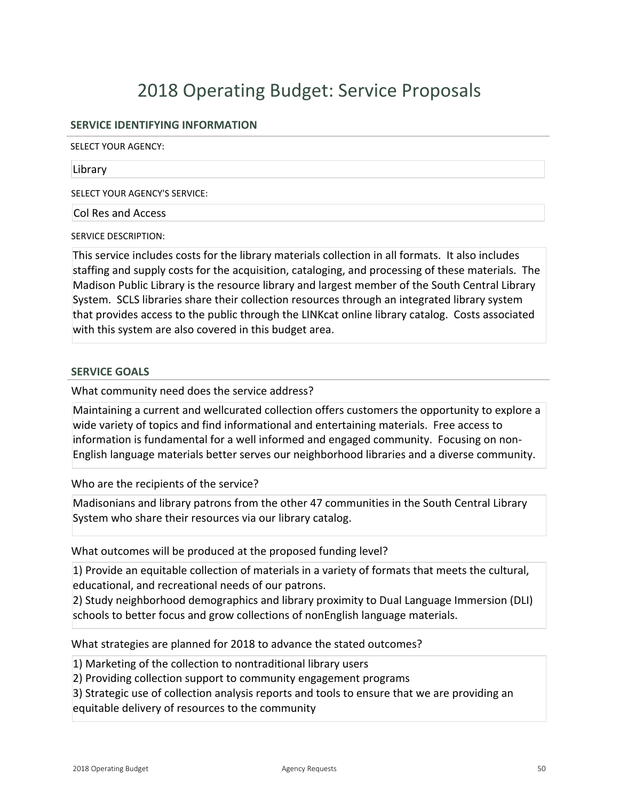#### **SERVICE IDENTIFYING INFORMATION**

SELECT YOUR AGENCY:

#### Library

SELECT YOUR AGENCY'S SERVICE:

Col Res and Access

SERVICE DESCRIPTION:

This service includes costs for the library materials collection in all formats. It also includes staffing and supply costs for the acquisition, cataloging, and processing of these materials. The Madison Public Library is the resource library and largest member of the South Central Library System. SCLS libraries share their collection resources through an integrated library system that provides access to the public through the LINKcat online library catalog. Costs associated with this system are also covered in this budget area.

#### **SERVICE GOALS**

What community need does the service address?

Maintaining a current and wellcurated collection offers customers the opportunity to explore a wide variety of topics and find informational and entertaining materials. Free access to information is fundamental for a well informed and engaged community. Focusing on non-English language materials better serves our neighborhood libraries and a diverse community.

Who are the recipients of the service?

Madisonians and library patrons from the other 47 communities in the South Central Library System who share their resources via our library catalog.

What outcomes will be produced at the proposed funding level?

1) Provide an equitable collection of materials in a variety of formats that meets the cultural, educational, and recreational needs of our patrons.

2) Study neighborhood demographics and library proximity to Dual Language Immersion (DLI) schools to better focus and grow collections of nonEnglish language materials.

What strategies are planned for 2018 to advance the stated outcomes?

1) Marketing of the collection to nontraditional library users

2) Providing collection support to community engagement programs

3) Strategic use of collection analysis reports and tools to ensure that we are providing an equitable delivery of resources to the community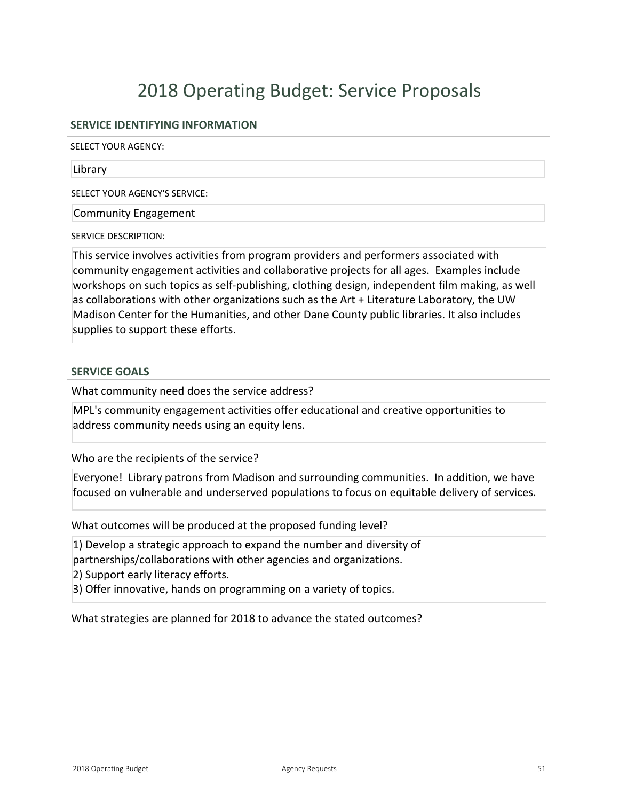### **SERVICE IDENTIFYING INFORMATION**

SELECT YOUR AGENCY:

#### Library

SELECT YOUR AGENCY'S SERVICE:

Community Engagement

SERVICE DESCRIPTION:

This service involves activities from program providers and performers associated with community engagement activities and collaborative projects for all ages. Examples include workshops on such topics as self-publishing, clothing design, independent film making, as well as collaborations with other organizations such as the Art + Literature Laboratory, the UW Madison Center for the Humanities, and other Dane County public libraries. It also includes supplies to support these efforts.

#### **SERVICE GOALS**

What community need does the service address?

MPL's community engagement activities offer educational and creative opportunities to address community needs using an equity lens.

Who are the recipients of the service?

Everyone! Library patrons from Madison and surrounding communities. In addition, we have focused on vulnerable and underserved populations to focus on equitable delivery of services.

What outcomes will be produced at the proposed funding level?

1) Develop a strategic approach to expand the number and diversity of partnerships/collaborations with other agencies and organizations.

2) Support early literacy efforts.

3) Offer innovative, hands on programming on a variety of topics.

What strategies are planned for 2018 to advance the stated outcomes?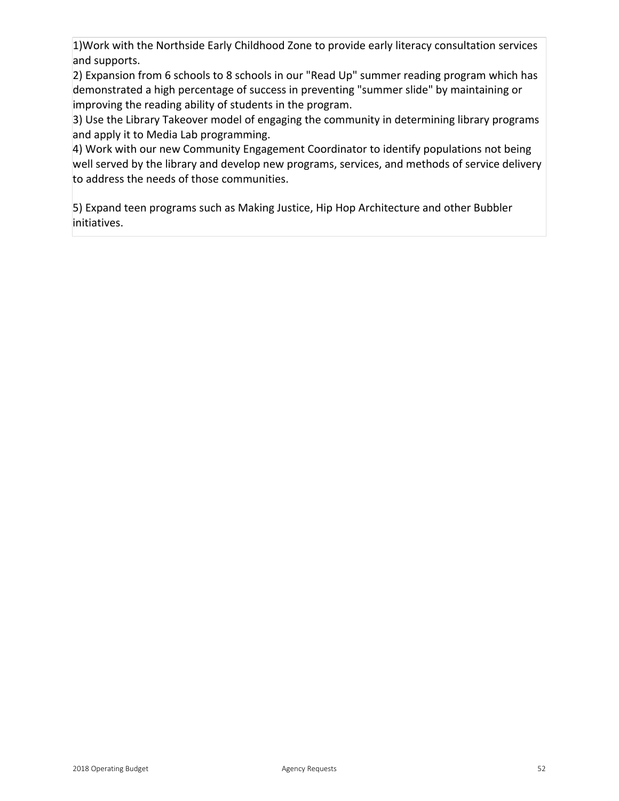1)Work with the Northside Early Childhood Zone to provide early literacy consultation services and supports.

2) Expansion from 6 schools to 8 schools in our "Read Up" summer reading program which has demonstrated a high percentage of success in preventing "summer slide" by maintaining or improving the reading ability of students in the program.

3) Use the Library Takeover model of engaging the community in determining library programs and apply it to Media Lab programming.

4) Work with our new Community Engagement Coordinator to identify populations not being well served by the library and develop new programs, services, and methods of service delivery to address the needs of those communities.

5) Expand teen programs such as Making Justice, Hip Hop Architecture and other Bubbler initiatives.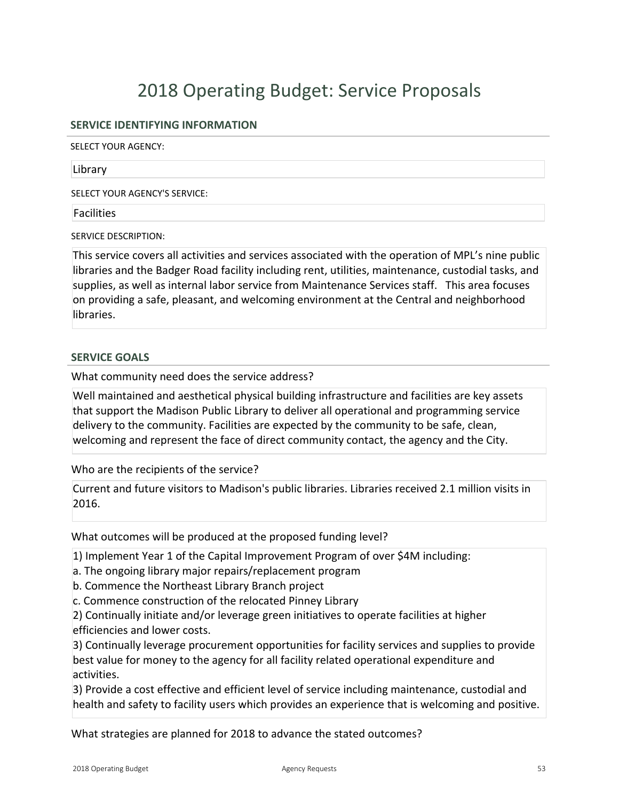### **SERVICE IDENTIFYING INFORMATION**

SELECT YOUR AGENCY:

#### Library

SELECT YOUR AGENCY'S SERVICE:

#### Facilities

SERVICE DESCRIPTION:

This service covers all activities and services associated with the operation of MPL's nine public libraries and the Badger Road facility including rent, utilities, maintenance, custodial tasks, and supplies, as well as internal labor service from Maintenance Services staff. This area focuses on providing a safe, pleasant, and welcoming environment at the Central and neighborhood libraries.

#### **SERVICE GOALS**

What community need does the service address?

Well maintained and aesthetical physical building infrastructure and facilities are key assets that support the Madison Public Library to deliver all operational and programming service delivery to the community. Facilities are expected by the community to be safe, clean, welcoming and represent the face of direct community contact, the agency and the City.

Who are the recipients of the service?

Current and future visitors to Madison's public libraries. Libraries received 2.1 million visits in 2016.

What outcomes will be produced at the proposed funding level?

1) Implement Year 1 of the Capital Improvement Program of over \$4M including:

a. The ongoing library major repairs/replacement program

b. Commence the Northeast Library Branch project

c. Commence construction of the relocated Pinney Library

2) Continually initiate and/or leverage green initiatives to operate facilities at higher efficiencies and lower costs.

3) Continually leverage procurement opportunities for facility services and supplies to provide best value for money to the agency for all facility related operational expenditure and activities.

3) Provide a cost effective and efficient level of service including maintenance, custodial and health and safety to facility users which provides an experience that is welcoming and positive.

What strategies are planned for 2018 to advance the stated outcomes?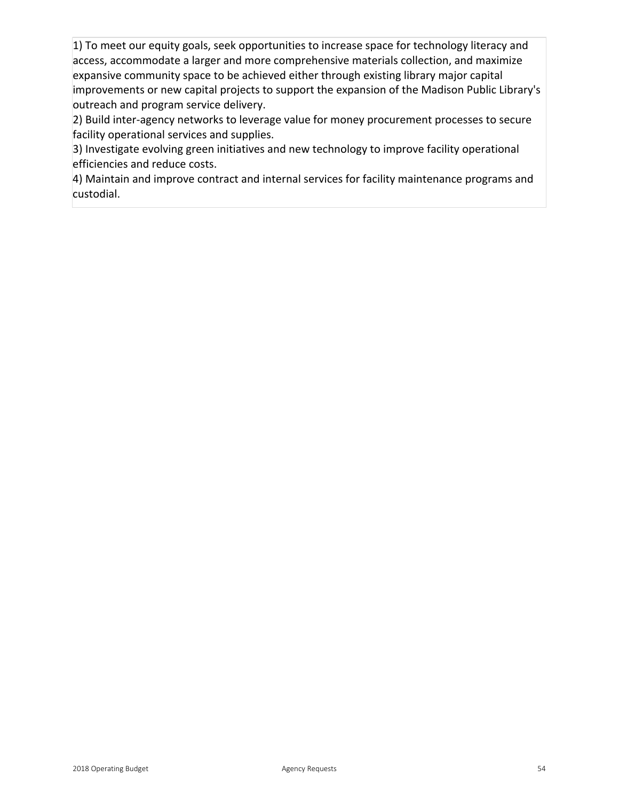1) To meet our equity goals, seek opportunities to increase space for technology literacy and access, accommodate a larger and more comprehensive materials collection, and maximize expansive community space to be achieved either through existing library major capital improvements or new capital projects to support the expansion of the Madison Public Library's outreach and program service delivery.

2) Build inter-agency networks to leverage value for money procurement processes to secure facility operational services and supplies.

3) Investigate evolving green initiatives and new technology to improve facility operational efficiencies and reduce costs.

4) Maintain and improve contract and internal services for facility maintenance programs and custodial.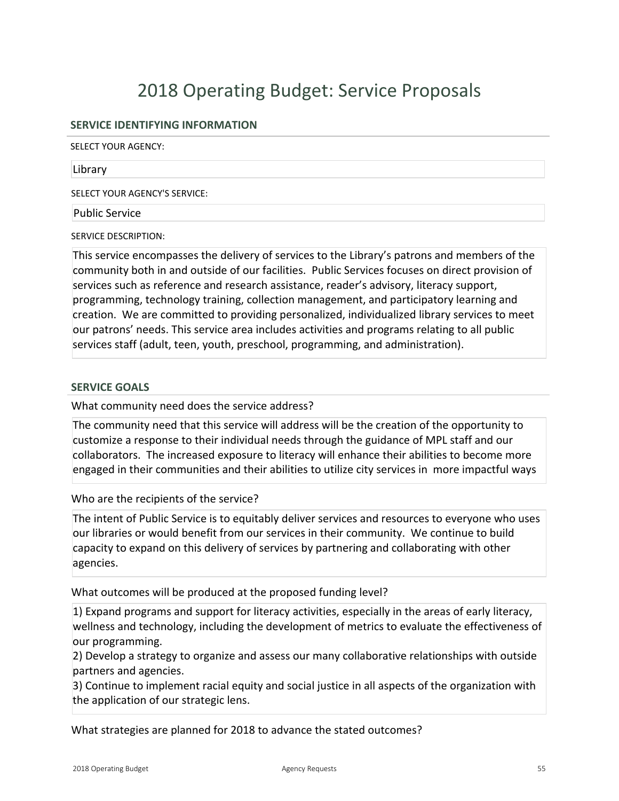### **SERVICE IDENTIFYING INFORMATION**

SELECT YOUR AGENCY:

#### Library

SELECT YOUR AGENCY'S SERVICE:

#### Public Service

SERVICE DESCRIPTION:

This service encompasses the delivery of services to the Library's patrons and members of the community both in and outside of our facilities. Public Services focuses on direct provision of services such as reference and research assistance, reader's advisory, literacy support, programming, technology training, collection management, and participatory learning and creation. We are committed to providing personalized, individualized library services to meet our patrons' needs. This service area includes activities and programs relating to all public services staff (adult, teen, youth, preschool, programming, and administration).

#### **SERVICE GOALS**

What community need does the service address?

The community need that this service will address will be the creation of the opportunity to customize a response to their individual needs through the guidance of MPL staff and our collaborators. The increased exposure to literacy will enhance their abilities to become more engaged in their communities and their abilities to utilize city services in more impactful ways

Who are the recipients of the service?

The intent of Public Service is to equitably deliver services and resources to everyone who uses our libraries or would benefit from our services in their community. We continue to build capacity to expand on this delivery of services by partnering and collaborating with other agencies.

What outcomes will be produced at the proposed funding level?

1) Expand programs and support for literacy activities, especially in the areas of early literacy, wellness and technology, including the development of metrics to evaluate the effectiveness of our programming.

2) Develop a strategy to organize and assess our many collaborative relationships with outside partners and agencies.

3) Continue to implement racial equity and social justice in all aspects of the organization with the application of our strategic lens.

What strategies are planned for 2018 to advance the stated outcomes?